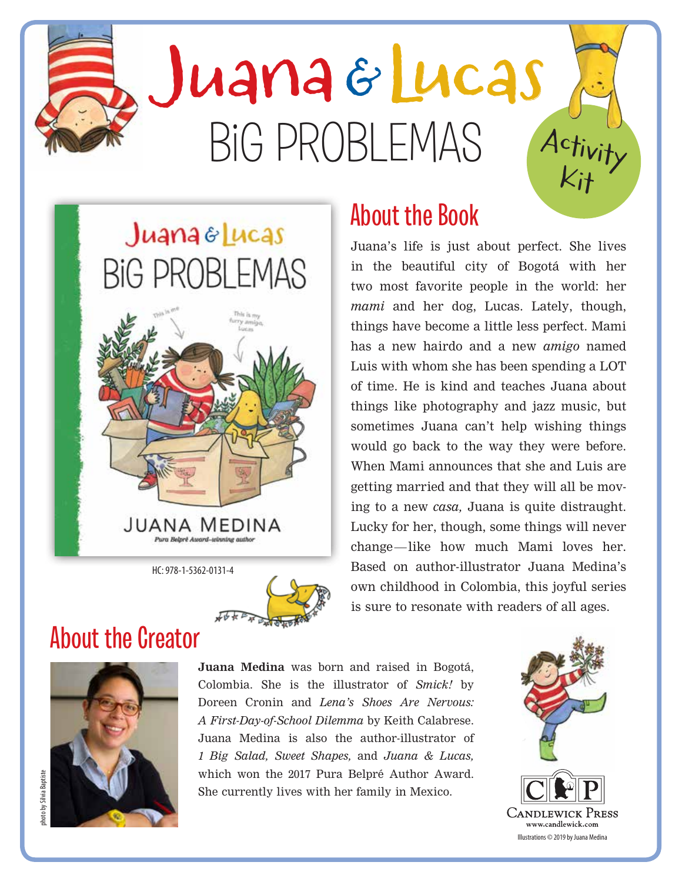# Activity Big PROBLeMAs Juana & Lucas

## $J$ uana  $\varepsilon$  Lucas BIG PROBLEMAS



HC: 978-1-5362-0131-4



#### About the Book

Juana's life is just about perfect. She lives in the beautiful city of Bogotá with her two most favorite people in the world: her *mami* and her dog, Lucas. Lately, though, things have become a little less perfect. Mami has a new hairdo and a new *amigo* named Luis with whom she has been spending a LOT of time. He is kind and teaches Juana about things like photography and jazz music, but sometimes Juana can't help wishing things would go back to the way they were before. When Mami announces that she and Luis are getting married and that they will all be moving to a new *casa,* Juana is quite distraught. Lucky for her, though, some things will never change—like how much Mami loves her. Based on author-illustrator Juana Medina's own childhood in Colombia, this joyful series is sure to resonate with readers of all ages.

#### About the Creator



**Juana Medina** was born and raised in Bogotá, Colombia. She is the illustrator of *Smick!* by Doreen Cronin and *Lena's Shoes Are Nervous: A First-Day-of-School Dilemma* by Keith Calabrese. Juana Medina is also the author-illustrator of *1 Big Salad, Sweet Shapes,* and *Juana & Lucas,*  which won the 2017 Pura Belpré Author Award. She currently lives with her family in Mexico.



Kit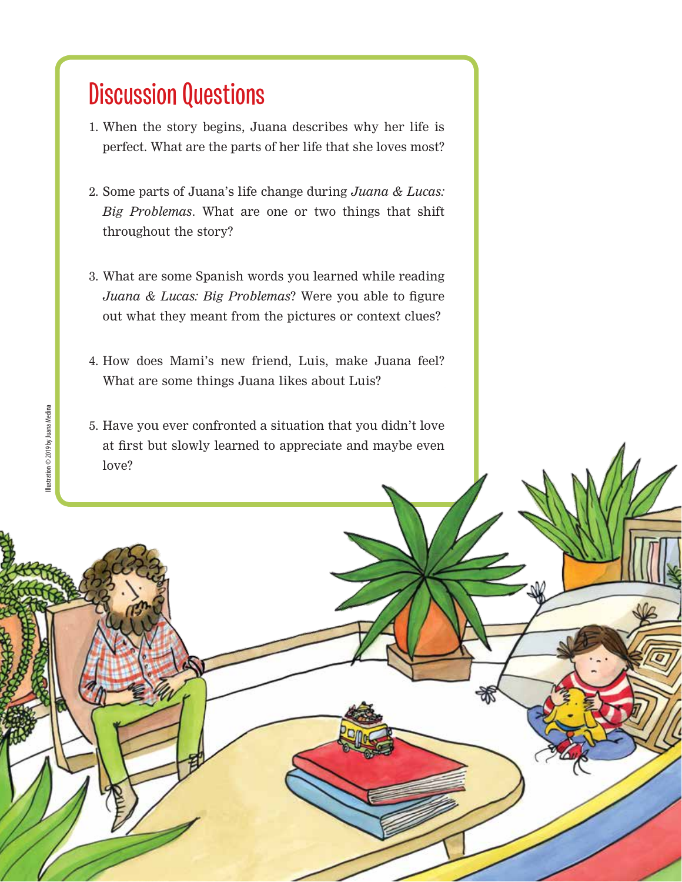#### Discussion Questions

- 1. When the story begins, Juana describes why her life is perfect. What are the parts of her life that she loves most?
- 2. Some parts of Juana's life change during *Juana & Lucas: Big Problemas*. What are one or two things that shift throughout the story?
- 3. What are some Spanish words you learned while reading *Juana & Lucas: Big Problemas*? Were you able to figure out what they meant from the pictures or context clues?
- 4. How does Mami's new friend, Luis, make Juana feel? What are some things Juana likes about Luis?
- 5. Have you ever confronted a situation that you didn't love at first but slowly learned to appreciate and maybe even love?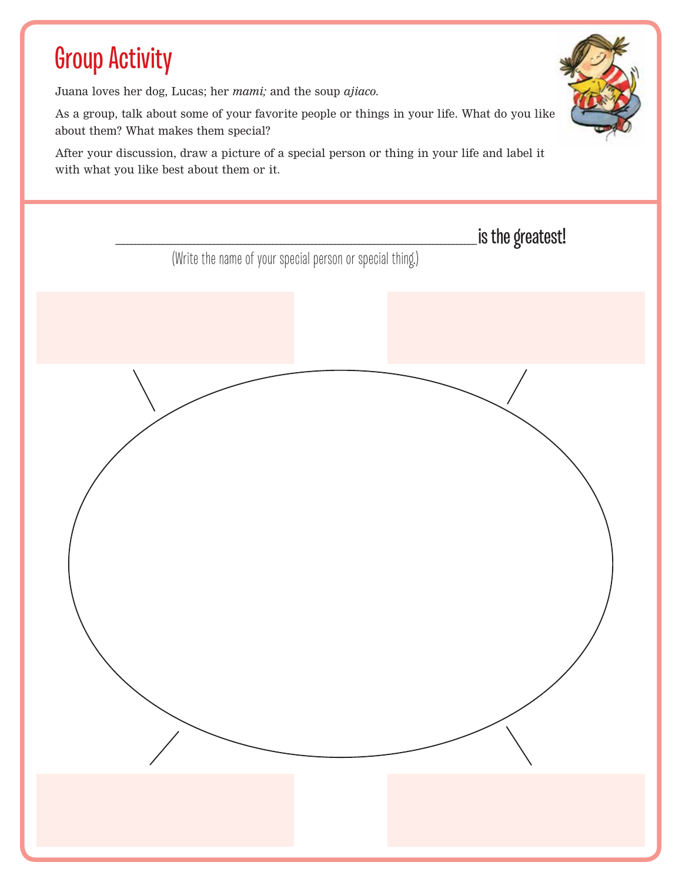### Group Activity

Juana loves her dog, Lucas; her *mami;* and the soup *ajiaco.*

As a group, talk about some of your favorite people or things in your life. What do you like about them? What makes them special?

After your discussion, draw a picture of a special person or thing in your life and label it with what you like best about them or it.

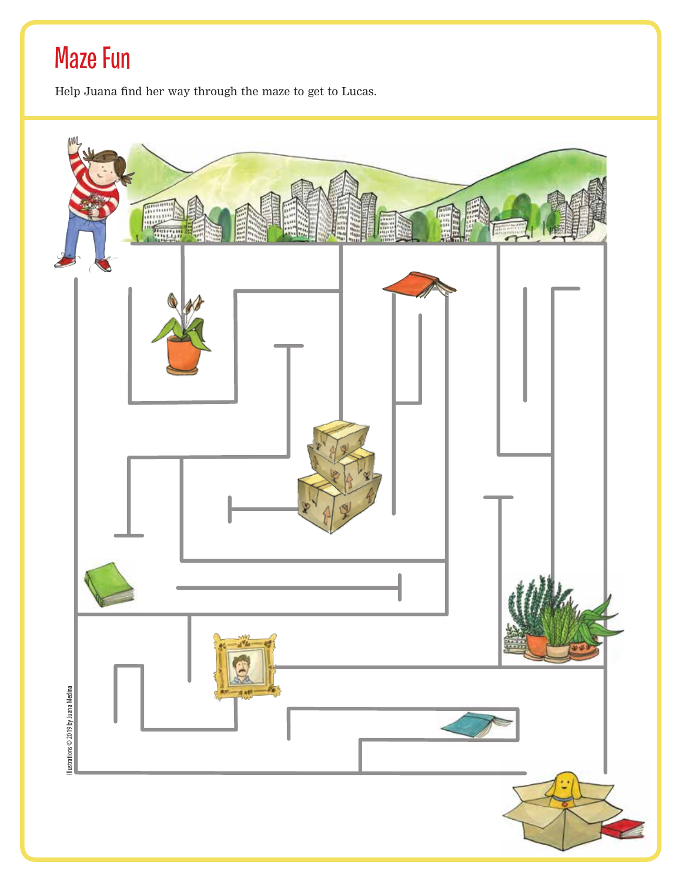### Maze Fun

Help Juana find her way through the maze to get to Lucas.